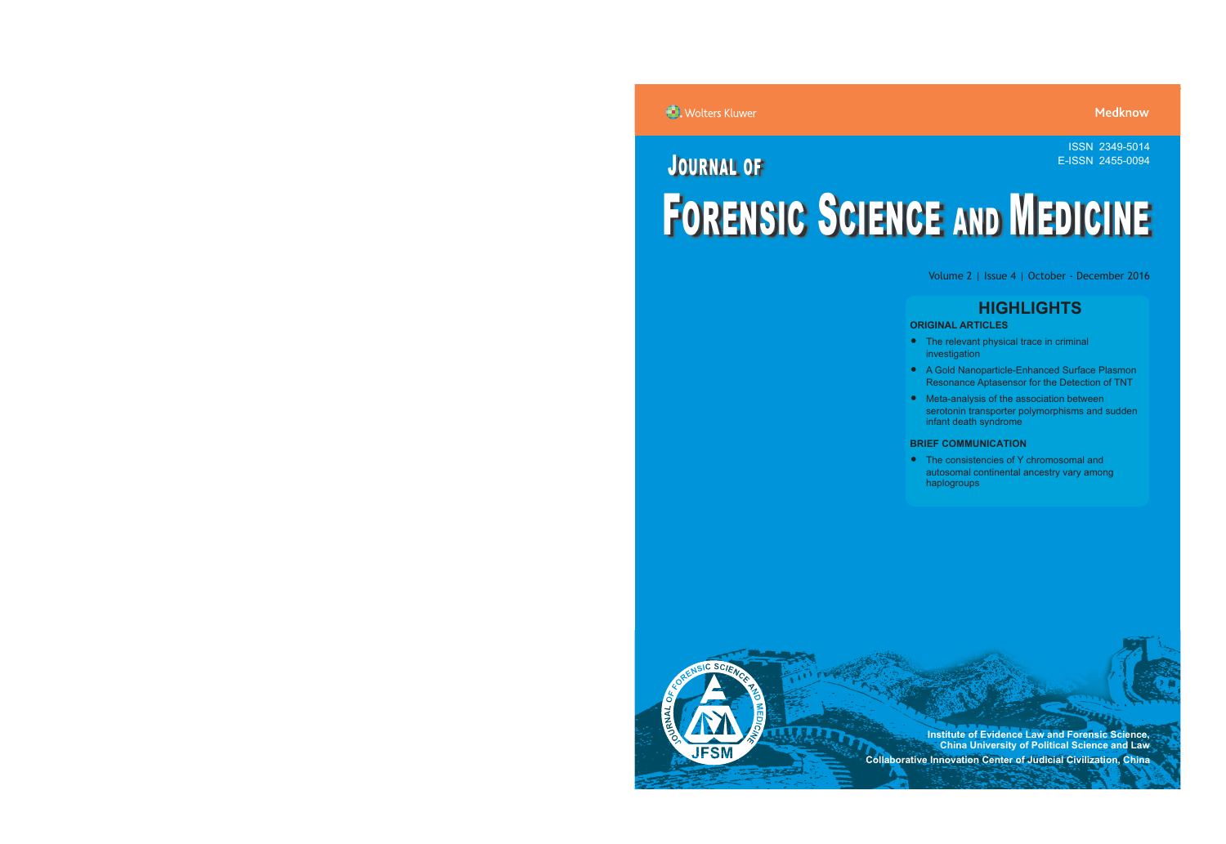ISSN 2349-5014

# JOURNAL OF FORENSIC SCIENCE AND MEDICINE E-ISSN 2455-0094

Volume 2 | Issue 4 | October - December 2016

# **HIGHLIGHTS**

# **ORIGINAL ARTICLES**

- The relevant physical trace in criminal investigation
- A Gold Nanoparticle-Enhanced Surface Plasmon Resonance Aptasensor for the Detection of TNT
- Meta-analysis of the association between serotonin transporter polymorphisms and sudden infant death syndrome

# **BRIEF COMMUNICATION**

• The consistencies of Y chromosomal and autosomal continental ancestry vary among haplogroups



**Institute of Evidence Law and Forensic Science, China University of Political Science and Law SPONSORE 2012 Collaborative Innovation Center of Judicial Civilization, China**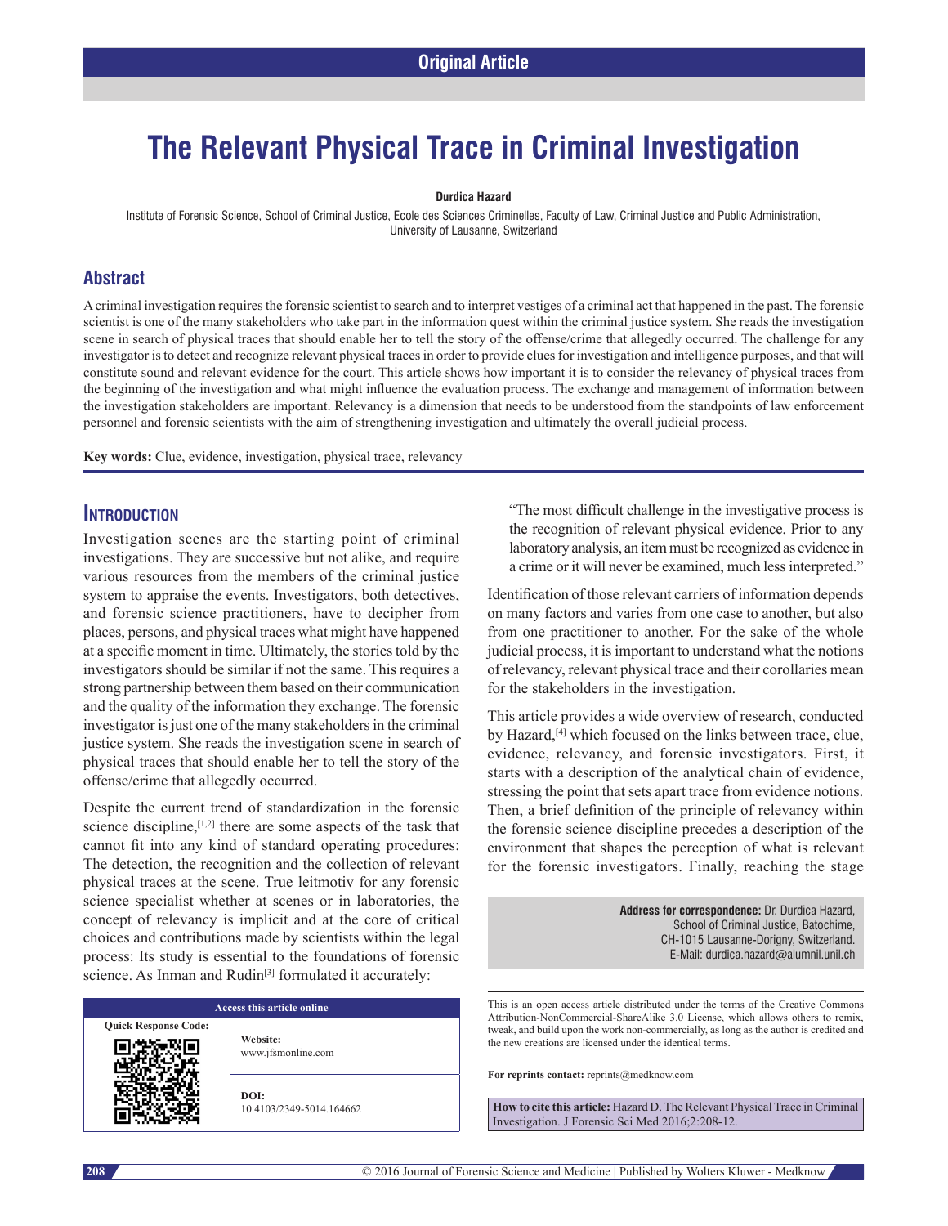# **The Relevant Physical Trace in Criminal Investigation**

#### **Durdica Hazard**

Institute of Forensic Science, School of Criminal Justice, Ecole des Sciences Criminelles, Faculty of Law, Criminal Justice and Public Administration, University of Lausanne, Switzerland

## **Abstract**

A criminal investigation requires the forensic scientist to search and to interpret vestiges of a criminal act that happened in the past. The forensic scientist is one of the many stakeholders who take part in the information quest within the criminal justice system. She reads the investigation scene in search of physical traces that should enable her to tell the story of the offense/crime that allegedly occurred. The challenge for any investigator is to detect and recognize relevant physical traces in order to provide clues for investigation and intelligence purposes, and that will constitute sound and relevant evidence for the court. This article shows how important it is to consider the relevancy of physical traces from the beginning of the investigation and what might influence the evaluation process. The exchange and management of information between the investigation stakeholders are important. Relevancy is a dimension that needs to be understood from the standpoints of law enforcement personnel and forensic scientists with the aim of strengthening investigation and ultimately the overall judicial process.

**Key words:** Clue, evidence, investigation, physical trace, relevancy

### **Introduction**

Investigation scenes are the starting point of criminal investigations. They are successive but not alike, and require various resources from the members of the criminal justice system to appraise the events. Investigators, both detectives, and forensic science practitioners, have to decipher from places, persons, and physical traces what might have happened at a specific moment in time. Ultimately, the storiestold by the investigators should be similar if not the same. This requires a strong partnership between them based on their communication and the quality of the information they exchange. The forensic investigator is just one of the many stakeholders in the criminal justice system. She reads the investigation scene in search of physical traces that should enable her to tell the story of the offense/crime that allegedly occurred.

Despite the current trend of standardization in the forensic science discipline,  $[1,2]$  there are some aspects of the task that cannot fit into any kind of standard operating procedures: The detection, the recognition and the collection of relevant physical traces at the scene. True leitmotiv for any forensic science specialist whether at scenes or in laboratories, the concept of relevancy is implicit and at the core of critical choices and contributions made by scientists within the legal process: Its study is essential to the foundations of forensic science. As Inman and Rudin<sup>[3]</sup> formulated it accurately:

# **Access this article online**

**Quick Response Code:**

**Website:** www.jfsmonline.com

**DOI:** 10.4103/2349-5014.164662 "The most difficult challenge in the investigative process is the recognition of relevant physical evidence. Prior to any laboratory analysis, an item must be recognized as evidence in a crime or it will never be examined, much less interpreted."

Identification of those relevant carriers of information depends on many factors and varies from one case to another, but also from one practitioner to another. For the sake of the whole judicial process, it is important to understand what the notions of relevancy, relevant physical trace and their corollaries mean for the stakeholders in the investigation.

This article provides a wide overview of research, conducted by Hazard,<sup>[4]</sup> which focused on the links between trace, clue, evidence, relevancy, and forensic investigators. First, it starts with a description of the analytical chain of evidence, stressing the point that sets apart trace from evidence notions. Then, a brief definition of the principle of relevancy within the forensic science discipline precedes a description of the environment that shapes the perception of what is relevant for the forensic investigators. Finally, reaching the stage

> **Address for correspondence:** Dr. Durdica Hazard, School of Criminal Justice, Batochime, CH-1015 Lausanne-Dorigny, Switzerland. E‑Mail: durdica.hazard@alumnil.unil.ch

This is an open access article distributed under the terms of the Creative Commons Attribution-NonCommercial-ShareAlike 3.0 License, which allows others to remix, tweak, and build upon the work non-commercially, as long as the author is credited and the new creations are licensed under the identical terms.

**For reprints contact:** reprints@medknow.com

**How to cite this article:** Hazard D. The Relevant Physical Trace in Criminal Investigation. J Forensic Sci Med 2016;2:208-12.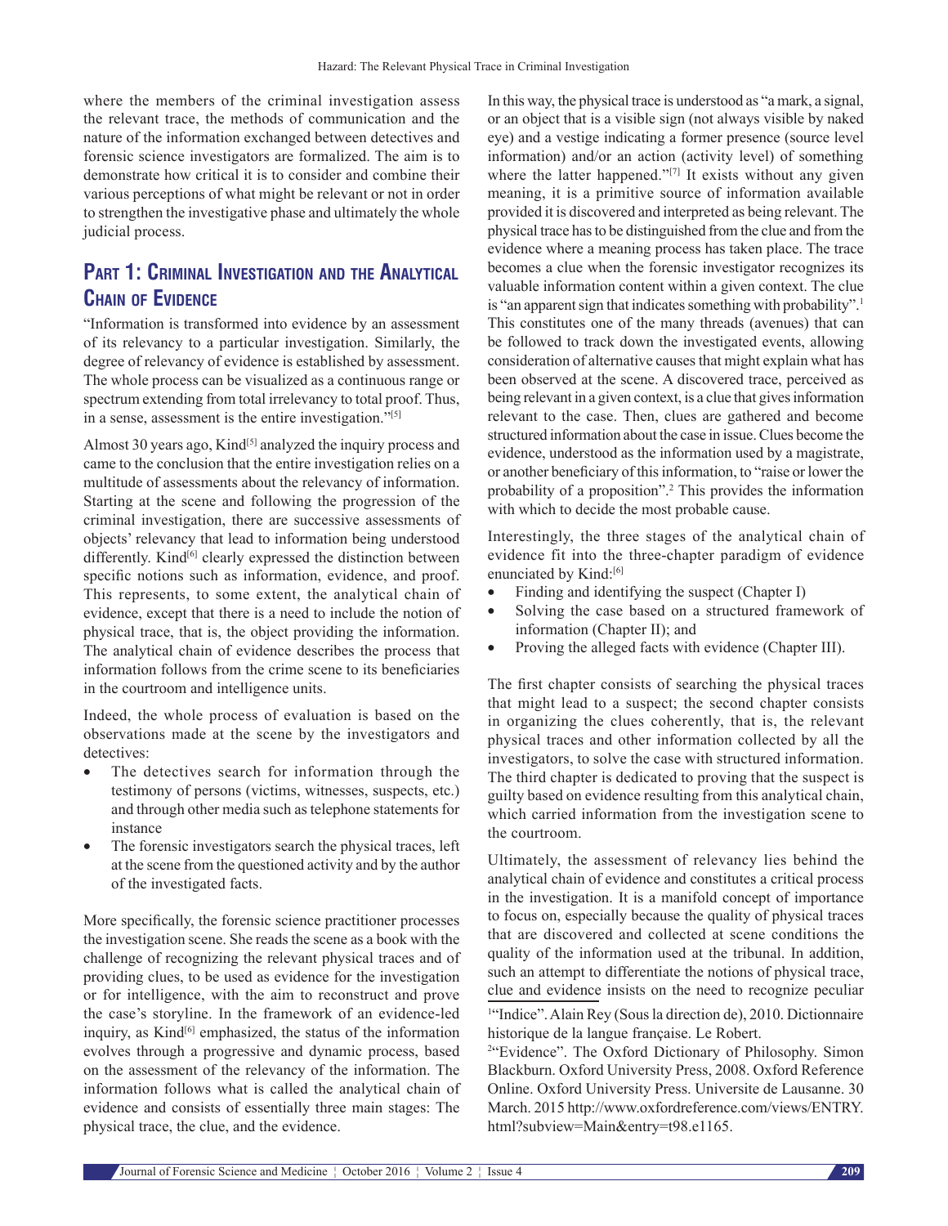where the members of the criminal investigation assess the relevant trace, the methods of communication and the nature of the information exchanged between detectives and forensic science investigators are formalized. The aim is to demonstrate how critical it is to consider and combine their various perceptions of what might be relevant or not in order to strengthen the investigative phase and ultimately the whole judicial process.

# **Part 1: Criminal Investigation and the Analytical Chain of Evidence**

"Information is transformed into evidence by an assessment of its relevancy to a particular investigation. Similarly, the degree of relevancy of evidence is established by assessment. The whole process can be visualized as a continuous range or spectrum extending from total irrelevancy to total proof. Thus, in a sense, assessment is the entire investigation."<sup>[5]</sup>

Almost 30 years ago, Kind<sup>[5]</sup> analyzed the inquiry process and came to the conclusion that the entire investigation relies on a multitude of assessments about the relevancy of information. Starting at the scene and following the progression of the criminal investigation, there are successive assessments of objects' relevancy that lead to information being understood differently. Kind<sup>[6]</sup> clearly expressed the distinction between specific notions such as information, evidence, and proof. This represents, to some extent, the analytical chain of evidence, except that there is a need to include the notion of physical trace, that is, the object providing the information. The analytical chain of evidence describes the process that information follows from the crime scene to its beneficiaries in the courtroom and intelligence units.

Indeed, the whole process of evaluation is based on the observations made at the scene by the investigators and detectives:

- The detectives search for information through the testimony of persons (victims, witnesses, suspects, etc.) and through other media such as telephone statements for instance
- The forensic investigators search the physical traces, left at the scene from the questioned activity and by the author of the investigated facts.

More specifically, the forensic science practitioner processes the investigation scene. She reads the scene as a book with the challenge of recognizing the relevant physical traces and of providing clues, to be used as evidence for the investigation or for intelligence, with the aim to reconstruct and prove the case's storyline. In the framework of an evidence-led inquiry, as Kind $[6]$  emphasized, the status of the information evolves through a progressive and dynamic process, based on the assessment of the relevancy of the information. The information follows what is called the analytical chain of evidence and consists of essentially three main stages: The physical trace, the clue, and the evidence.

In this way, the physical trace is understood as "a mark, a signal, or an object that is a visible sign (not always visible by naked eye) and a vestige indicating a former presence (source level information) and/or an action (activity level) of something where the latter happened."<sup>[7]</sup> It exists without any given meaning, it is a primitive source of information available provided it is discovered and interpreted as being relevant. The physical trace has to be distinguished from the clue and from the evidence where a meaning process has taken place. The trace becomes a clue when the forensic investigator recognizes its valuable information content within a given context. The clue is "an apparent sign that indicates something with probability".<sup>1</sup> This constitutes one of the many threads (avenues) that can be followed to track down the investigated events, allowing consideration of alternative causes that might explain what has been observed at the scene. A discovered trace, perceived as being relevant in a given context, is a clue that gives information relevant to the case. Then, clues are gathered and become structured information about the case in issue. Clues become the evidence, understood as the information used by a magistrate, or another beneficiary of thisinformation, to "raise or lower the probability of a proposition".2 This provides the information with which to decide the most probable cause.

Interestingly, the three stages of the analytical chain of evidence fit into the three-chapter paradigm of evidence enunciated by Kind:<sup>[6]</sup>

- Finding and identifying the suspect (Chapter I)
- Solving the case based on a structured framework of information (Chapter II); and
- Proving the alleged facts with evidence (Chapter III).

The first chapter consists of searching the physical traces that might lead to a suspect; the second chapter consists in organizing the clues coherently, that is, the relevant physical traces and other information collected by all the investigators, to solve the case with structured information. The third chapter is dedicated to proving that the suspect is guilty based on evidence resulting from this analytical chain, which carried information from the investigation scene to the courtroom.

Ultimately, the assessment of relevancy lies behind the analytical chain of evidence and constitutes a critical process in the investigation. It is a manifold concept of importance to focus on, especially because the quality of physical traces that are discovered and collected at scene conditions the quality of the information used at the tribunal. In addition, such an attempt to differentiate the notions of physical trace, clue and evidence insists on the need to recognize peculiar

<sup>1</sup>"Indice". Alain Rey (Sous la direction de), 2010. Dictionnaire historique de la langue française. Le Robert.

<sup>2</sup>"Evidence". The Oxford Dictionary of Philosophy. Simon Blackburn. Oxford University Press, 2008. Oxford Reference Online. Oxford University Press. Universite de Lausanne. 30 March. 2015 http://www.oxfordreference.com/views/ENTRY. html?subview=Main&entry=t98.e1165.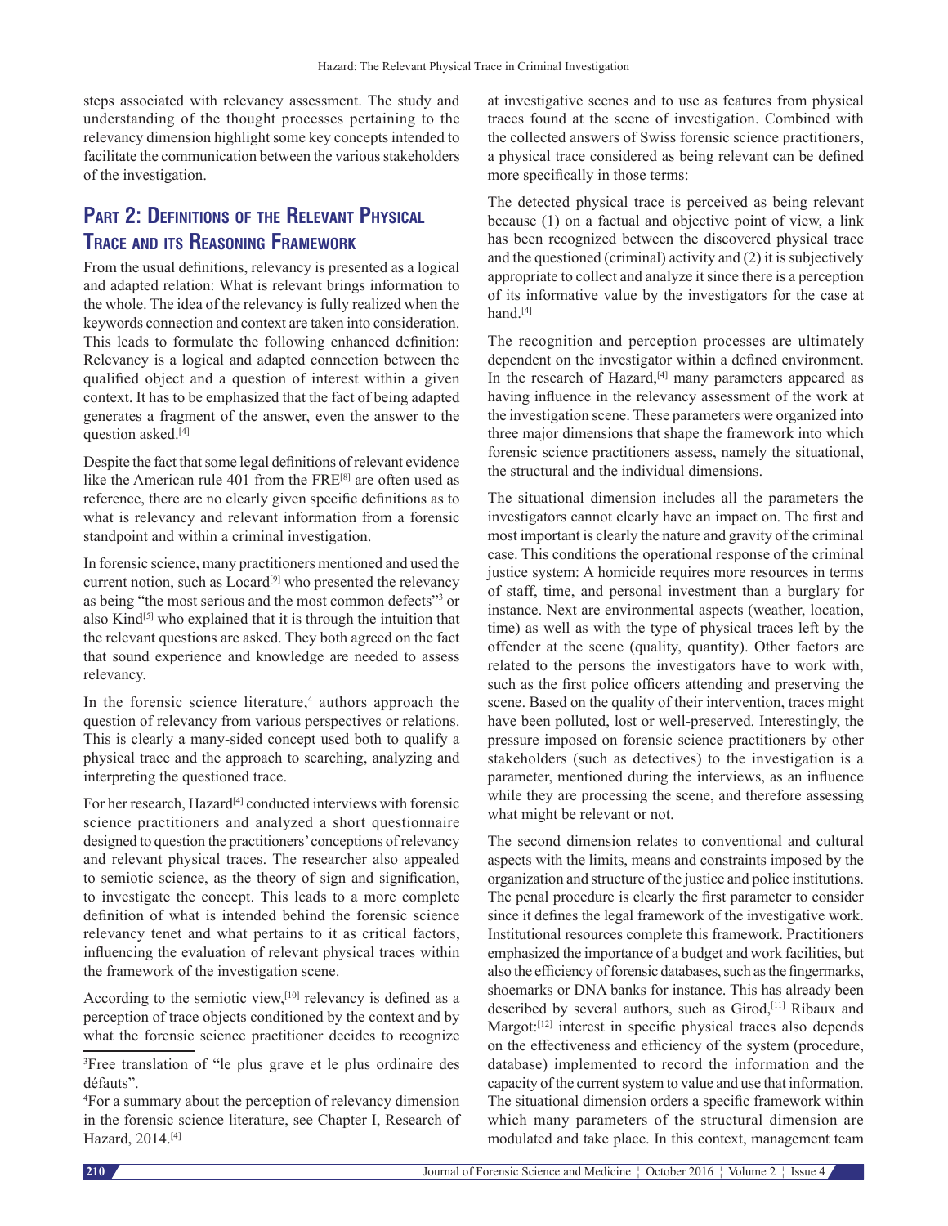steps associated with relevancy assessment. The study and understanding of the thought processes pertaining to the relevancy dimension highlight some key concepts intended to facilitate the communication between the various stakeholders of the investigation.

# **Part 2: Definitions of the Relevant Physical Trace and its Reasoning Framework**

From the usual definitions, relevancy is presented as a logical and adapted relation: What is relevant brings information to the whole. The idea of the relevancy is fully realized when the keywords connection and context are taken into consideration. This leads to formulate the following enhanced definition: Relevancy is a logical and adapted connection between the qualified object and a question of interest within a given context. It has to be emphasized that the fact of being adapted generates a fragment of the answer, even the answer to the question asked.[4]

Despite the fact that some legal definitions of relevant evidence like the American rule 401 from the FRE[8] are often used as reference, there are no clearly given specific definitions as to what is relevancy and relevant information from a forensic standpoint and within a criminal investigation.

In forensic science, many practitioners mentioned and used the current notion, such as Locard<sup>[9]</sup> who presented the relevancy as being "the most serious and the most common defects"<sup>3</sup> or also Kind<sup>[5]</sup> who explained that it is through the intuition that the relevant questions are asked. They both agreed on the fact that sound experience and knowledge are needed to assess relevancy.

In the forensic science literature,<sup>4</sup> authors approach the question of relevancy from various perspectives or relations. This is clearly a many-sided concept used both to qualify a physical trace and the approach to searching, analyzing and interpreting the questioned trace.

For her research, Hazard<sup>[4]</sup> conducted interviews with forensic science practitioners and analyzed a short questionnaire designed to question the practitioners' conceptions of relevancy and relevant physical traces. The researcher also appealed to semiotic science, as the theory of sign and signification, to investigate the concept. This leads to a more complete definition of what is intended behind the forensic science relevancy tenet and what pertains to it as critical factors, influencing the evaluation of relevant physical traces within the framework of the investigation scene.

According to the semiotic view,<sup>[10]</sup> relevancy is defined as a perception of trace objects conditioned by the context and by what the forensic science practitioner decides to recognize at investigative scenes and to use as features from physical traces found at the scene of investigation. Combined with the collected answers of Swiss forensic science practitioners, a physical trace considered as being relevant can be defined more specifically in those terms:

The detected physical trace is perceived as being relevant because (1) on a factual and objective point of view, a link has been recognized between the discovered physical trace and the questioned (criminal) activity and (2) it is subjectively appropriate to collect and analyze it since there is a perception of its informative value by the investigators for the case at hand.<sup>[4]</sup>

The recognition and perception processes are ultimately dependent on the investigator within a defined environment. In the research of Hazard,<sup>[4]</sup> many parameters appeared as having influence in the relevancy assessment of the work at the investigation scene. These parameters were organized into three major dimensions that shape the framework into which forensic science practitioners assess, namely the situational, the structural and the individual dimensions.

The situational dimension includes all the parameters the investigators cannot clearly have an impact on. The first and most important is clearly the nature and gravity of the criminal case. This conditions the operational response of the criminal justice system: A homicide requires more resources in terms of staff, time, and personal investment than a burglary for instance. Next are environmental aspects (weather, location, time) as well as with the type of physical traces left by the offender at the scene (quality, quantity). Other factors are related to the persons the investigators have to work with, such as the first police officers attending and preserving the scene. Based on the quality of their intervention, traces might have been polluted, lost or well-preserved. Interestingly, the pressure imposed on forensic science practitioners by other stakeholders (such as detectives) to the investigation is a parameter, mentioned during the interviews, as an influence while they are processing the scene, and therefore assessing what might be relevant or not.

The second dimension relates to conventional and cultural aspects with the limits, means and constraints imposed by the organization and structure of the justice and police institutions. The penal procedure is clearly the first parameter to consider since it defines the legal framework of the investigative work. Institutional resources complete this framework. Practitioners emphasized the importance of a budget and work facilities, but also the efficiency of forensic databases, such as the fingermarks, shoemarks or DNA banks for instance. This has already been described by several authors, such as Girod,<sup>[11]</sup> Ribaux and Margot:<sup>[12]</sup> interest in specific physical traces also depends on the effectiveness and efficiency of the system (procedure, database) implemented to record the information and the capacity of the current system to value and use that information. The situational dimension orders a specific framework within which many parameters of the structural dimension are modulated and take place. In this context, management team

<sup>3</sup> Free translation of "le plus grave et le plus ordinaire des défauts".

<sup>4</sup> For a summary about the perception of relevancy dimension in the forensic science literature, see Chapter I, Research of Hazard, 2014.[4]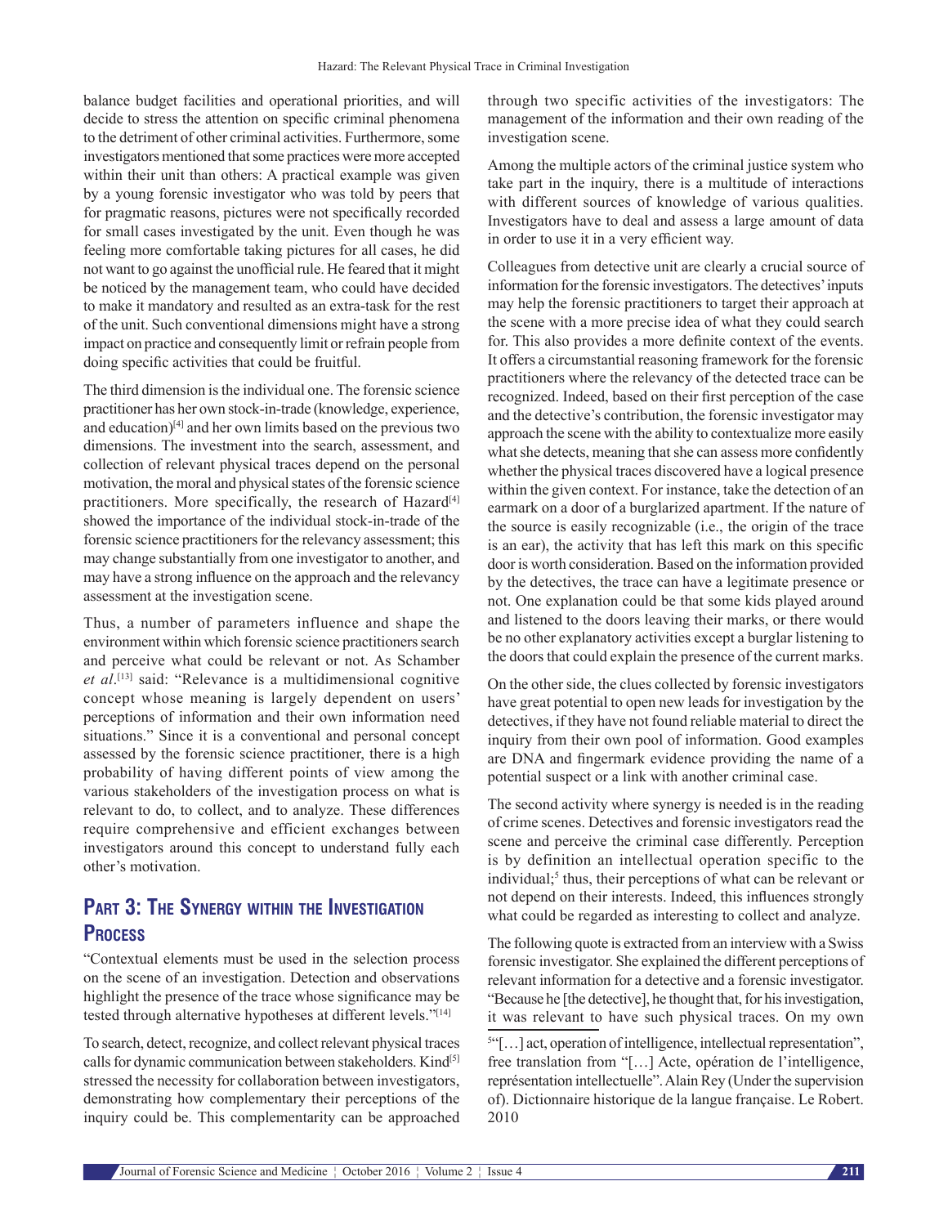balance budget facilities and operational priorities, and will decide to stress the attention on specific criminal phenomena to the detriment of other criminal activities. Furthermore, some investigators mentioned that some practices were more accepted within their unit than others: A practical example was given by a young forensic investigator who was told by peers that for pragmatic reasons, pictures were not specifically recorded for small cases investigated by the unit. Even though he was feeling more comfortable taking pictures for all cases, he did not want to go against the unofficial rule. He feared that it might be noticed by the management team, who could have decided to make it mandatory and resulted as an extra-task for the rest of the unit. Such conventional dimensions might have a strong impact on practice and consequently limit or refrain people from doing specific activities that could be fruitful.

The third dimension is the individual one. The forensic science practitioner has her own stock-in-trade (knowledge, experience, and education)<sup>[4]</sup> and her own limits based on the previous two dimensions. The investment into the search, assessment, and collection of relevant physical traces depend on the personal motivation, the moral and physical states of the forensic science practitioners. More specifically, the research of Hazard<sup>[4]</sup> showed the importance of the individual stock-in-trade of the forensic science practitioners for the relevancy assessment; this may change substantially from one investigator to another, and may have a strong influence on the approach and the relevancy assessment at the investigation scene.

Thus, a number of parameters influence and shape the environment within which forensic science practitioners search and perceive what could be relevant or not. As Schamber *et al*. [13] said: "Relevance is a multidimensional cognitive concept whose meaning is largely dependent on users' perceptions of information and their own information need situations." Since it is a conventional and personal concept assessed by the forensic science practitioner, there is a high probability of having different points of view among the various stakeholders of the investigation process on what is relevant to do, to collect, and to analyze. These differences require comprehensive and efficient exchanges between investigators around this concept to understand fully each other's motivation.

# **Part 3: The Synergy within the Investigation Process**

"Contextual elements must be used in the selection process on the scene of an investigation. Detection and observations highlight the presence of the trace whose significance may be tested through alternative hypotheses at different levels."[14]

To search, detect, recognize, and collect relevant physical traces calls for dynamic communication between stakeholders. Kind[5] stressed the necessity for collaboration between investigators, demonstrating how complementary their perceptions of the inquiry could be. This complementarity can be approached through two specific activities of the investigators: The management of the information and their own reading of the investigation scene.

Among the multiple actors of the criminal justice system who take part in the inquiry, there is a multitude of interactions with different sources of knowledge of various qualities. Investigators have to deal and assess a large amount of data in order to use it in a very efficient way.

Colleagues from detective unit are clearly a crucial source of information for the forensic investigators. The detectives' inputs may help the forensic practitioners to target their approach at the scene with a more precise idea of what they could search for. This also provides a more definite context of the events. It offers a circumstantial reasoning framework for the forensic practitioners where the relevancy of the detected trace can be recognized. Indeed, based on their first perception of the case and the detective's contribution, the forensic investigator may approach the scene with the ability to contextualize more easily what she detects, meaning that she can assess more confidently whether the physical traces discovered have a logical presence within the given context. For instance, take the detection of an earmark on a door of a burglarized apartment. If the nature of the source is easily recognizable (i.e., the origin of the trace is an ear), the activity that has left this mark on this specific door is worth consideration. Based on the information provided by the detectives, the trace can have a legitimate presence or not. One explanation could be that some kids played around and listened to the doors leaving their marks, or there would be no other explanatory activities except a burglar listening to the doors that could explain the presence of the current marks.

On the other side, the clues collected by forensic investigators have great potential to open new leads for investigation by the detectives, if they have not found reliable material to direct the inquiry from their own pool of information. Good examples are DNA and fingermark evidence providing the name of a potential suspect or a link with another criminal case.

The second activity where synergy is needed is in the reading of crime scenes. Detectives and forensic investigators read the scene and perceive the criminal case differently. Perception is by definition an intellectual operation specific to the individual;<sup>5</sup> thus, their perceptions of what can be relevant or not depend on their interests. Indeed, this influences strongly what could be regarded as interesting to collect and analyze.

The following quote is extracted from an interview with a Swiss forensic investigator. She explained the different perceptions of relevant information for a detective and a forensic investigator. "Because he [the detective], he thought that, for his investigation, it was relevant to have such physical traces. On my own

5 "[…] act, operation of intelligence, intellectual representation", free translation from "[…] Acte, opération de l'intelligence, représentation intellectuelle". Alain Rey (Under the supervision of). Dictionnaire historique de la langue française. Le Robert. 2010